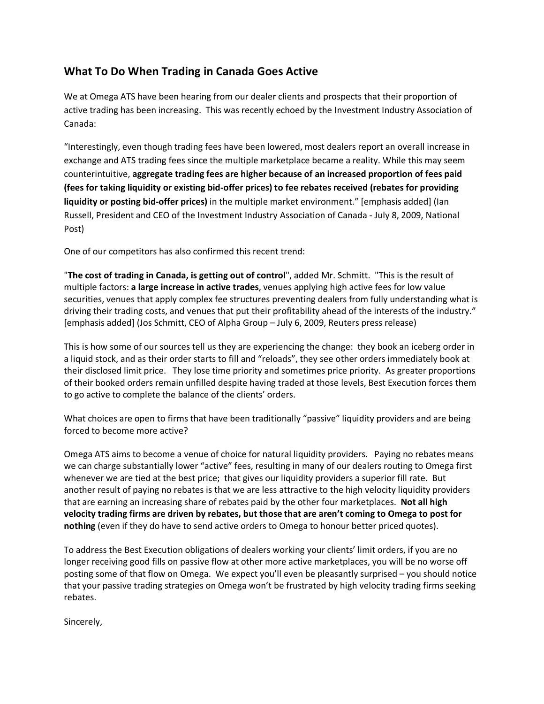## What To Do When Trading in Canada Goes Active

We at Omega ATS have been hearing from our dealer clients and prospects that their proportion of active trading has been increasing. This was recently echoed by the Investment Industry Association of Canada:

"Interestingly, even though trading fees have been lowered, most dealers report an overall increase in exchange and ATS trading fees since the multiple marketplace became a reality. While this may seem counterintuitive, aggregate trading fees are higher because of an increased proportion of fees paid (fees for taking liquidity or existing bid-offer prices) to fee rebates received (rebates for providing liquidity or posting bid-offer prices) in the multiple market environment." [emphasis added] (Ian Russell, President and CEO of the Investment Industry Association of Canada - July 8, 2009, National Post)

One of our competitors has also confirmed this recent trend:

"The cost of trading in Canada, is getting out of control", added Mr. Schmitt. "This is the result of multiple factors: a large increase in active trades, venues applying high active fees for low value securities, venues that apply complex fee structures preventing dealers from fully understanding what is driving their trading costs, and venues that put their profitability ahead of the interests of the industry." [emphasis added] (Jos Schmitt, CEO of Alpha Group – July 6, 2009, Reuters press release)

This is how some of our sources tell us they are experiencing the change: they book an iceberg order in a liquid stock, and as their order starts to fill and "reloads", they see other orders immediately book at their disclosed limit price. They lose time priority and sometimes price priority. As greater proportions of their booked orders remain unfilled despite having traded at those levels, Best Execution forces them to go active to complete the balance of the clients' orders.

What choices are open to firms that have been traditionally "passive" liquidity providers and are being forced to become more active?

Omega ATS aims to become a venue of choice for natural liquidity providers. Paying no rebates means we can charge substantially lower "active" fees, resulting in many of our dealers routing to Omega first whenever we are tied at the best price; that gives our liquidity providers a superior fill rate. But another result of paying no rebates is that we are less attractive to the high velocity liquidity providers that are earning an increasing share of rebates paid by the other four marketplaces. Not all high velocity trading firms are driven by rebates, but those that are aren't coming to Omega to post for nothing (even if they do have to send active orders to Omega to honour better priced quotes).

To address the Best Execution obligations of dealers working your clients' limit orders, if you are no longer receiving good fills on passive flow at other more active marketplaces, you will be no worse off posting some of that flow on Omega. We expect you'll even be pleasantly surprised – you should notice that your passive trading strategies on Omega won't be frustrated by high velocity trading firms seeking rebates.

Sincerely,